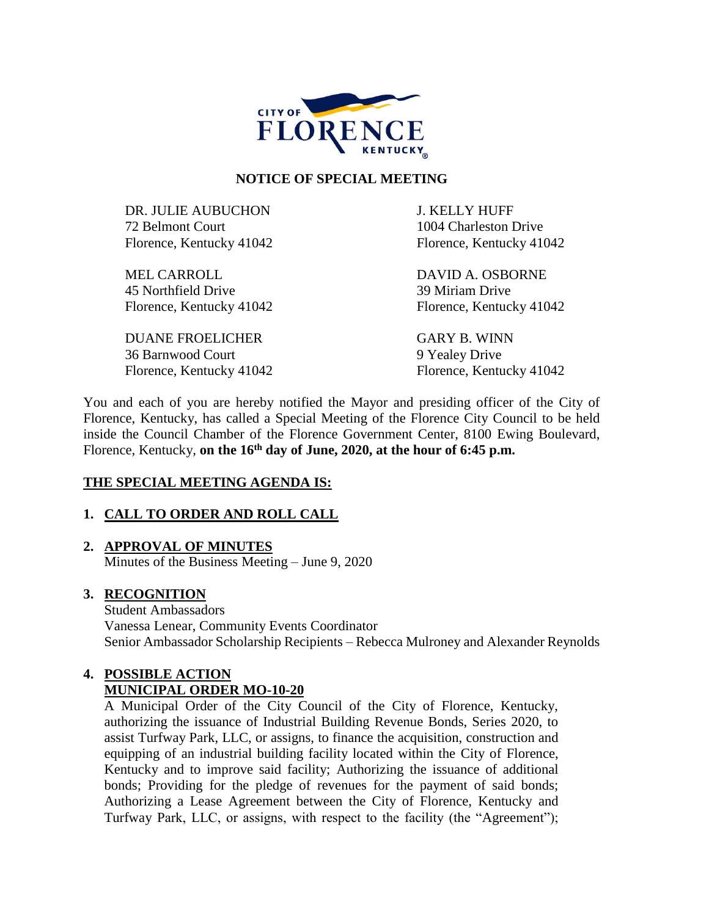

#### **NOTICE OF SPECIAL MEETING**

DR. JULIE AUBUCHON J. KELLY HUFF 72 Belmont Court 1004 Charleston Drive Florence, Kentucky 41042 Florence, Kentucky 41042

MEL CARROLL DAVID A. OSBORNE 45 Northfield Drive 39 Miriam Drive Florence, Kentucky 41042 Florence, Kentucky 41042

DUANE FROELICHER GARY B. WINN 36 Barnwood Court 9 Yealey Drive Florence, Kentucky 41042 Florence, Kentucky 41042

You and each of you are hereby notified the Mayor and presiding officer of the City of Florence, Kentucky, has called a Special Meeting of the Florence City Council to be held inside the Council Chamber of the Florence Government Center, 8100 Ewing Boulevard, Florence, Kentucky, **on the 16th day of June, 2020, at the hour of 6:45 p.m.** 

### **THE SPECIAL MEETING AGENDA IS:**

### **1. CALL TO ORDER AND ROLL CALL**

### **2. APPROVAL OF MINUTES**

Minutes of the Business Meeting – June 9, 2020

#### **3. RECOGNITION**

Student Ambassadors Vanessa Lenear, Community Events Coordinator Senior Ambassador Scholarship Recipients – Rebecca Mulroney and Alexander Reynolds

## **4. POSSIBLE ACTION MUNICIPAL ORDER MO-10-20**

A Municipal Order of the City Council of the City of Florence, Kentucky, authorizing the issuance of Industrial Building Revenue Bonds, Series 2020, to assist Turfway Park, LLC, or assigns, to finance the acquisition, construction and equipping of an industrial building facility located within the City of Florence, Kentucky and to improve said facility; Authorizing the issuance of additional bonds; Providing for the pledge of revenues for the payment of said bonds; Authorizing a Lease Agreement between the City of Florence, Kentucky and Turfway Park, LLC, or assigns, with respect to the facility (the "Agreement");